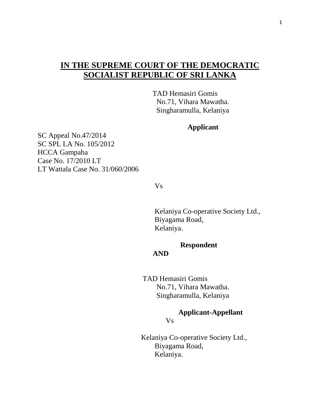# **IN THE SUPREME COURT OF THE DEMOCRATIC SOCIALIST REPUBLIC OF SRI LANKA**

 TAD Hemasiri Gomis No.71, Vihara Mawatha. Singharamulla, Kelaniya

**Applicant** 

SC Appeal No.47/2014 SC SPL LA No. 105/2012 HCCA Gampaha Case No. 17/2010 LT LT Wattala Case No. 31/060/2006

Vs

 Kelaniya Co-operative Society Ltd., Biyagama Road, Kelaniya.

 **Respondent**

### **AND**

 TAD Hemasiri Gomis No.71, Vihara Mawatha. Singharamulla, Kelaniya

 **Applicant-Appellant** Vs

> Kelaniya Co-operative Society Ltd., Biyagama Road, Kelaniya.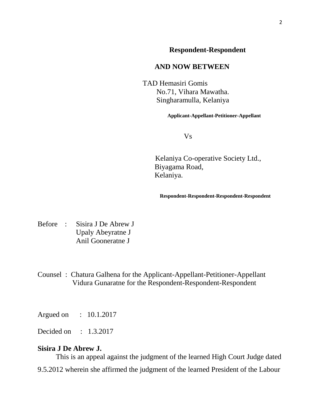## **Respondent-Respondent**

### **AND NOW BETWEEN**

 TAD Hemasiri Gomis No.71, Vihara Mawatha. Singharamulla, Kelaniya

**Applicant-Appellant-Petitioner-Appellant**

Vs

Kelaniya Co-operative Society Ltd., Biyagama Road, Kelaniya.

**Respondent-Respondent-Respondent-Respondent**

Before : Sisira J De Abrew J Upaly Abeyratne J Anil Gooneratne J

Counsel : Chatura Galhena for the Applicant-Appellant-Petitioner-Appellant Vidura Gunaratne for the Respondent-Respondent-Respondent

Argued on : 10.1.2017

Decided on : 1.3.2017

#### **Sisira J De Abrew J.**

 This is an appeal against the judgment of the learned High Court Judge dated 9.5.2012 wherein she affirmed the judgment of the learned President of the Labour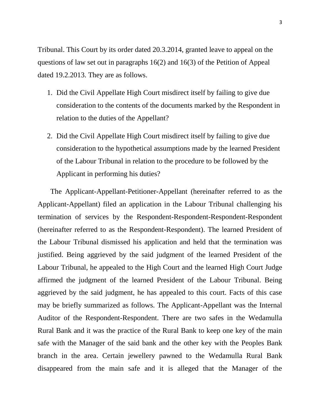Tribunal. This Court by its order dated 20.3.2014, granted leave to appeal on the questions of law set out in paragraphs 16(2) and 16(3) of the Petition of Appeal dated 19.2.2013. They are as follows.

- 1. Did the Civil Appellate High Court misdirect itself by failing to give due consideration to the contents of the documents marked by the Respondent in relation to the duties of the Appellant?
- 2. Did the Civil Appellate High Court misdirect itself by failing to give due consideration to the hypothetical assumptions made by the learned President of the Labour Tribunal in relation to the procedure to be followed by the Applicant in performing his duties?

 The Applicant-Appellant-Petitioner-Appellant (hereinafter referred to as the Applicant-Appellant) filed an application in the Labour Tribunal challenging his termination of services by the Respondent-Respondent-Respondent-Respondent (hereinafter referred to as the Respondent-Respondent). The learned President of the Labour Tribunal dismissed his application and held that the termination was justified. Being aggrieved by the said judgment of the learned President of the Labour Tribunal, he appealed to the High Court and the learned High Court Judge affirmed the judgment of the learned President of the Labour Tribunal. Being aggrieved by the said judgment, he has appealed to this court. Facts of this case may be briefly summarized as follows. The Applicant-Appellant was the Internal Auditor of the Respondent-Respondent. There are two safes in the Wedamulla Rural Bank and it was the practice of the Rural Bank to keep one key of the main safe with the Manager of the said bank and the other key with the Peoples Bank branch in the area. Certain jewellery pawned to the Wedamulla Rural Bank disappeared from the main safe and it is alleged that the Manager of the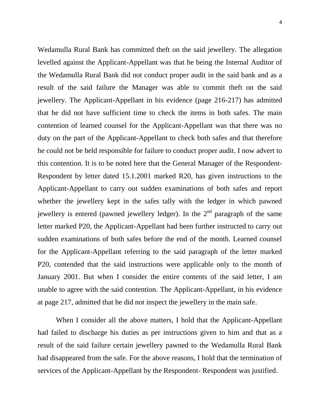4

Wedamulla Rural Bank has committed theft on the said jewellery. The allegation levelled against the Applicant-Appellant was that he being the Internal Auditor of the Wedamulla Rural Bank did not conduct proper audit in the said bank and as a result of the said failure the Manager was able to commit theft on the said jewellery. The Applicant-Appellant in his evidence (page 216-217) has admitted that he did not have sufficient time to check the items in both safes. The main contention of learned counsel for the Applicant-Appellant was that there was no duty on the part of the Applicant-Appellant to check both safes and that therefore he could not be held responsible for failure to conduct proper audit. I now advert to this contention. It is to be noted here that the General Manager of the Respondent-Respondent by letter dated 15.1.2001 marked R20, has given instructions to the Applicant-Appellant to carry out sudden examinations of both safes and report whether the jewellery kept in the safes tally with the ledger in which pawned jewellery is entered (pawned jewellery ledger). In the  $2<sup>nd</sup>$  paragraph of the same letter marked P20, the Applicant-Appellant had been further instructed to carry out sudden examinations of both safes before the end of the month. Learned counsel for the Applicant-Appellant referring to the said paragraph of the letter marked P20, contended that the said instructions were applicable only to the month of January 2001. But when I consider the entire contents of the said letter, I am unable to agree with the said contention. The Applicant-Appellant, in his evidence at page 217, admitted that he did not inspect the jewellery in the main safe.

 When I consider all the above matters, I hold that the Applicant-Appellant had failed to discharge his duties as per instructions given to him and that as a result of the said failure certain jewellery pawned to the Wedamulla Rural Bank had disappeared from the safe. For the above reasons, I hold that the termination of services of the Applicant-Appellant by the Respondent- Respondent was justified.